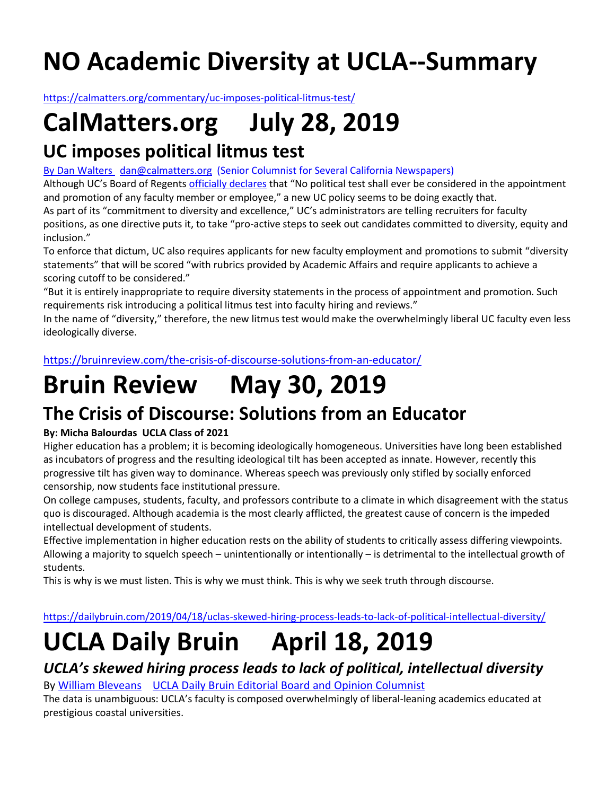# **NO Academic Diversity at UCLA--Summary**

<https://calmatters.org/commentary/uc-imposes-political-litmus-test/>

# **CalMatters.org July 28, 2019**

### **UC imposes political litmus test**

[By Dan Walters](https://calmatters.org/author/dan-walters/) [dan@calmatters.org](mailto:dan@calmatters.org) (Senior Columnist for Several California Newspapers)

Although UC's Board of Regents [officially declares](https://regents.universityofcalifornia.edu/governance/standing-orders/so1011.html) that "No political test shall ever be considered in the appointment and promotion of any faculty member or employee," a new UC policy seems to be doing exactly that.

As part of its "commitment to diversity and excellence," UC's administrators are telling recruiters for faculty positions, as one directive puts it, to take "pro-active steps to seek out candidates committed to diversity, equity and inclusion."

To enforce that dictum, UC also requires applicants for new faculty employment and promotions to submit "diversity statements" that will be scored "with rubrics provided by Academic Affairs and require applicants to achieve a scoring cutoff to be considered."

"But it is entirely inappropriate to require diversity statements in the process of appointment and promotion. Such requirements risk introducing a political litmus test into faculty hiring and reviews."

In the name of "diversity," therefore, the new litmus test would make the overwhelmingly liberal UC faculty even less ideologically diverse.

<https://bruinreview.com/the-crisis-of-discourse-solutions-from-an-educator/>

## **Bruin Review May 30, 2019**

### **The Crisis of Discourse: Solutions from an Educator**

#### **By: Micha Balourdas UCLA Class of 2021**

Higher education has a problem; it is becoming ideologically homogeneous. Universities have long been established as incubators of progress and the resulting ideological tilt has been accepted as innate. However, recently this progressive tilt has given way to dominance. Whereas speech was previously only stifled by socially enforced censorship, now students face institutional pressure.

On college campuses, students, faculty, and professors contribute to a climate in which disagreement with the status quo is discouraged. Although academia is the most clearly afflicted, the greatest cause of concern is the impeded intellectual development of students.

Effective implementation in higher education rests on the ability of students to critically assess differing viewpoints. Allowing a majority to squelch speech – unintentionally or intentionally – is detrimental to the intellectual growth of students.

This is why is we must listen. This is why we must think. This is why we seek truth through discourse.

<https://dailybruin.com/2019/04/18/uclas-skewed-hiring-process-leads-to-lack-of-political-intellectual-diversity/>

## **UCLA Daily Bruin April 18, 2019**

### *UCLA's skewed hiring process leads to lack of political, intellectual diversity*

By [William Bl](https://dailybruin.com/author/william-bleveans/)eveans UCLA Daily Bruin Editorial Board and Opinion Columnist

The data is unambiguous: UCLA's faculty is composed overwhelmingly of liberal-leaning academics educated at prestigious coastal universities.